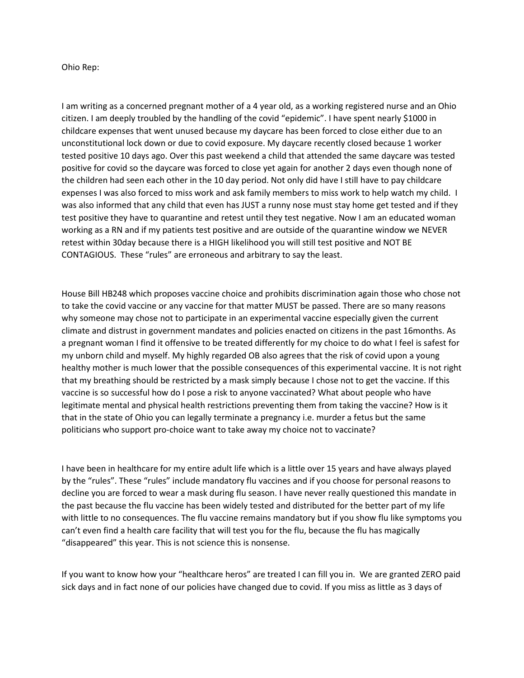Ohio Rep:

I am writing as a concerned pregnant mother of a 4 year old, as a working registered nurse and an Ohio citizen. I am deeply troubled by the handling of the covid "epidemic". I have spent nearly \$1000 in childcare expenses that went unused because my daycare has been forced to close either due to an unconstitutional lock down or due to covid exposure. My daycare recently closed because 1 worker tested positive 10 days ago. Over this past weekend a child that attended the same daycare was tested positive for covid so the daycare was forced to close yet again for another 2 days even though none of the children had seen each other in the 10 day period. Not only did have I still have to pay childcare expenses I was also forced to miss work and ask family members to miss work to help watch my child. I was also informed that any child that even has JUST a runny nose must stay home get tested and if they test positive they have to quarantine and retest until they test negative. Now I am an educated woman working as a RN and if my patients test positive and are outside of the quarantine window we NEVER retest within 30day because there is a HIGH likelihood you will still test positive and NOT BE CONTAGIOUS. These "rules" are erroneous and arbitrary to say the least.

House Bill HB248 which proposes vaccine choice and prohibits discrimination again those who chose not to take the covid vaccine or any vaccine for that matter MUST be passed. There are so many reasons why someone may chose not to participate in an experimental vaccine especially given the current climate and distrust in government mandates and policies enacted on citizens in the past 16months. As a pregnant woman I find it offensive to be treated differently for my choice to do what I feel is safest for my unborn child and myself. My highly regarded OB also agrees that the risk of covid upon a young healthy mother is much lower that the possible consequences of this experimental vaccine. It is not right that my breathing should be restricted by a mask simply because I chose not to get the vaccine. If this vaccine is so successful how do I pose a risk to anyone vaccinated? What about people who have legitimate mental and physical health restrictions preventing them from taking the vaccine? How is it that in the state of Ohio you can legally terminate a pregnancy i.e. murder a fetus but the same politicians who support pro-choice want to take away my choice not to vaccinate?

I have been in healthcare for my entire adult life which is a little over 15 years and have always played by the "rules". These "rules" include mandatory flu vaccines and if you choose for personal reasons to decline you are forced to wear a mask during flu season. I have never really questioned this mandate in the past because the flu vaccine has been widely tested and distributed for the better part of my life with little to no consequences. The flu vaccine remains mandatory but if you show flu like symptoms you can't even find a health care facility that will test you for the flu, because the flu has magically "disappeared" this year. This is not science this is nonsense.

If you want to know how your "healthcare heros" are treated I can fill you in. We are granted ZERO paid sick days and in fact none of our policies have changed due to covid. If you miss as little as 3 days of